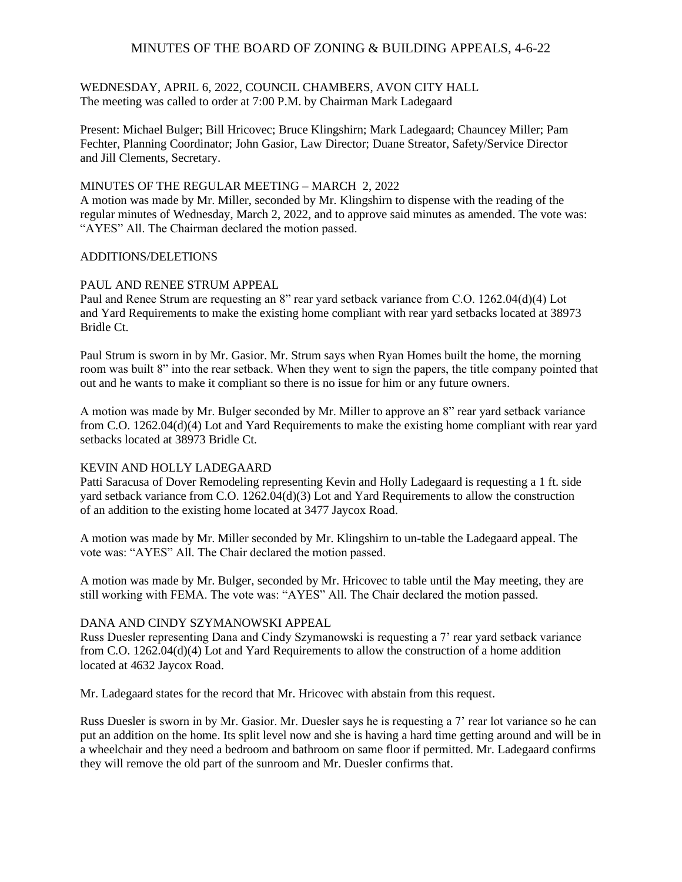#### WEDNESDAY, APRIL 6, 2022, COUNCIL CHAMBERS, AVON CITY HALL The meeting was called to order at 7:00 P.M. by Chairman Mark Ladegaard

Present: Michael Bulger; Bill Hricovec; Bruce Klingshirn; Mark Ladegaard; Chauncey Miller; Pam Fechter, Planning Coordinator; John Gasior, Law Director; Duane Streator, Safety/Service Director and Jill Clements, Secretary.

### MINUTES OF THE REGULAR MEETING – MARCH 2, 2022

A motion was made by Mr. Miller, seconded by Mr. Klingshirn to dispense with the reading of the regular minutes of Wednesday, March 2, 2022, and to approve said minutes as amended. The vote was: "AYES" All. The Chairman declared the motion passed.

### ADDITIONS/DELETIONS

### PAUL AND RENEE STRUM APPEAL

Paul and Renee Strum are requesting an 8" rear yard setback variance from C.O. 1262.04(d)(4) Lot and Yard Requirements to make the existing home compliant with rear yard setbacks located at 38973 Bridle Ct.

Paul Strum is sworn in by Mr. Gasior. Mr. Strum says when Ryan Homes built the home, the morning room was built 8" into the rear setback. When they went to sign the papers, the title company pointed that out and he wants to make it compliant so there is no issue for him or any future owners.

A motion was made by Mr. Bulger seconded by Mr. Miller to approve an 8" rear yard setback variance from C.O. 1262.04(d)(4) Lot and Yard Requirements to make the existing home compliant with rear yard setbacks located at 38973 Bridle Ct.

#### KEVIN AND HOLLY LADEGAARD

Patti Saracusa of Dover Remodeling representing Kevin and Holly Ladegaard is requesting a 1 ft. side yard setback variance from C.O. 1262.04(d)(3) Lot and Yard Requirements to allow the construction of an addition to the existing home located at 3477 Jaycox Road.

A motion was made by Mr. Miller seconded by Mr. Klingshirn to un-table the Ladegaard appeal. The vote was: "AYES" All. The Chair declared the motion passed.

A motion was made by Mr. Bulger, seconded by Mr. Hricovec to table until the May meeting, they are still working with FEMA. The vote was: "AYES" All. The Chair declared the motion passed.

#### DANA AND CINDY SZYMANOWSKI APPEAL

Russ Duesler representing Dana and Cindy Szymanowski is requesting a 7' rear yard setback variance from C.O. 1262.04(d)(4) Lot and Yard Requirements to allow the construction of a home addition located at 4632 Jaycox Road.

Mr. Ladegaard states for the record that Mr. Hricovec with abstain from this request.

Russ Duesler is sworn in by Mr. Gasior. Mr. Duesler says he is requesting a 7' rear lot variance so he can put an addition on the home. Its split level now and she is having a hard time getting around and will be in a wheelchair and they need a bedroom and bathroom on same floor if permitted. Mr. Ladegaard confirms they will remove the old part of the sunroom and Mr. Duesler confirms that.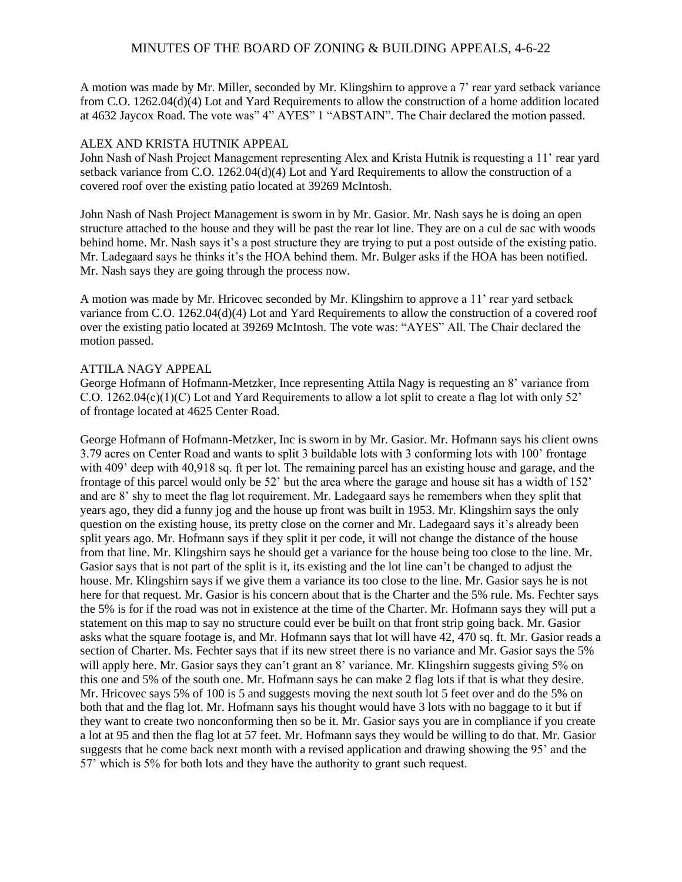A motion was made by Mr. Miller, seconded by Mr. Klingshirn to approve a 7' rear yard setback variance from C.O. 1262.04(d)(4) Lot and Yard Requirements to allow the construction of a home addition located at 4632 Jaycox Road. The vote was" 4" AYES" 1 "ABSTAIN". The Chair declared the motion passed.

#### ALEX AND KRISTA HUTNIK APPEAL

John Nash of Nash Project Management representing Alex and Krista Hutnik is requesting a 11' rear yard setback variance from C.O. 1262.04(d)(4) Lot and Yard Requirements to allow the construction of a covered roof over the existing patio located at 39269 McIntosh.

John Nash of Nash Project Management is sworn in by Mr. Gasior. Mr. Nash says he is doing an open structure attached to the house and they will be past the rear lot line. They are on a cul de sac with woods behind home. Mr. Nash says it's a post structure they are trying to put a post outside of the existing patio. Mr. Ladegaard says he thinks it's the HOA behind them. Mr. Bulger asks if the HOA has been notified. Mr. Nash says they are going through the process now.

A motion was made by Mr. Hricovec seconded by Mr. Klingshirn to approve a 11' rear yard setback variance from C.O. 1262.04(d)(4) Lot and Yard Requirements to allow the construction of a covered roof over the existing patio located at 39269 McIntosh. The vote was: "AYES" All. The Chair declared the motion passed.

### ATTILA NAGY APPEAL

George Hofmann of Hofmann-Metzker, Ince representing Attila Nagy is requesting an 8' variance from C.O. 1262.04(c)(1)(C) Lot and Yard Requirements to allow a lot split to create a flag lot with only 52' of frontage located at 4625 Center Road.

George Hofmann of Hofmann-Metzker, Inc is sworn in by Mr. Gasior. Mr. Hofmann says his client owns 3.79 acres on Center Road and wants to split 3 buildable lots with 3 conforming lots with 100' frontage with 409' deep with 40,918 sq. ft per lot. The remaining parcel has an existing house and garage, and the frontage of this parcel would only be 52' but the area where the garage and house sit has a width of 152' and are 8' shy to meet the flag lot requirement. Mr. Ladegaard says he remembers when they split that years ago, they did a funny jog and the house up front was built in 1953. Mr. Klingshirn says the only question on the existing house, its pretty close on the corner and Mr. Ladegaard says it's already been split years ago. Mr. Hofmann says if they split it per code, it will not change the distance of the house from that line. Mr. Klingshirn says he should get a variance for the house being too close to the line. Mr. Gasior says that is not part of the split is it, its existing and the lot line can't be changed to adjust the house. Mr. Klingshirn says if we give them a variance its too close to the line. Mr. Gasior says he is not here for that request. Mr. Gasior is his concern about that is the Charter and the 5% rule. Ms. Fechter says the 5% is for if the road was not in existence at the time of the Charter. Mr. Hofmann says they will put a statement on this map to say no structure could ever be built on that front strip going back. Mr. Gasior asks what the square footage is, and Mr. Hofmann says that lot will have 42, 470 sq. ft. Mr. Gasior reads a section of Charter. Ms. Fechter says that if its new street there is no variance and Mr. Gasior says the 5% will apply here. Mr. Gasior says they can't grant an 8' variance. Mr. Klingshirn suggests giving 5% on this one and 5% of the south one. Mr. Hofmann says he can make 2 flag lots if that is what they desire. Mr. Hricovec says 5% of 100 is 5 and suggests moving the next south lot 5 feet over and do the 5% on both that and the flag lot. Mr. Hofmann says his thought would have 3 lots with no baggage to it but if they want to create two nonconforming then so be it. Mr. Gasior says you are in compliance if you create a lot at 95 and then the flag lot at 57 feet. Mr. Hofmann says they would be willing to do that. Mr. Gasior suggests that he come back next month with a revised application and drawing showing the 95' and the 57' which is 5% for both lots and they have the authority to grant such request.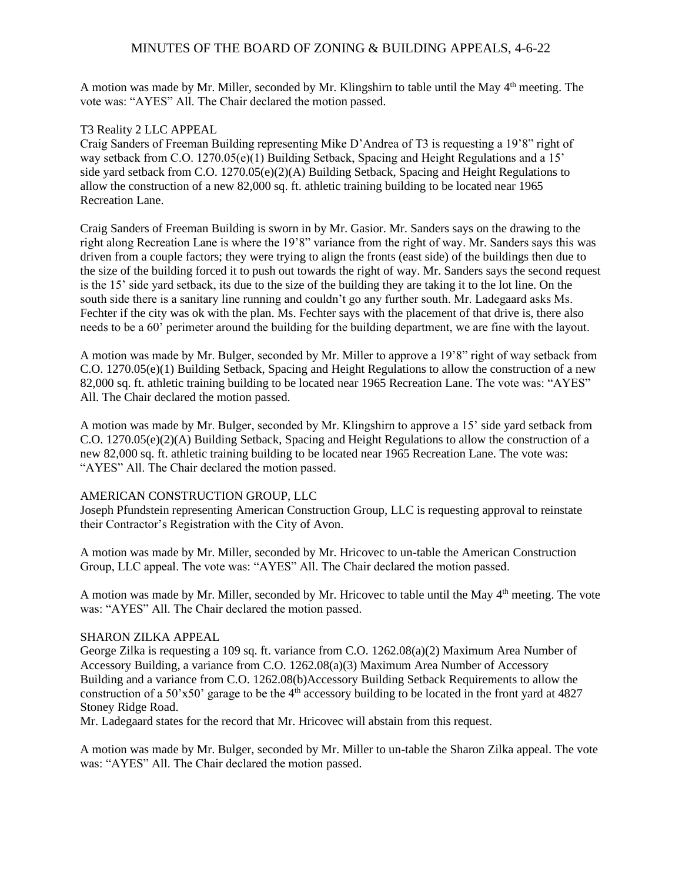A motion was made by Mr. Miller, seconded by Mr. Klingshirn to table until the May 4<sup>th</sup> meeting. The vote was: "AYES" All. The Chair declared the motion passed.

## T3 Reality 2 LLC APPEAL

Craig Sanders of Freeman Building representing Mike D'Andrea of T3 is requesting a 19'8" right of way setback from C.O. 1270.05(e)(1) Building Setback, Spacing and Height Regulations and a 15' side yard setback from C.O. 1270.05(e)(2)(A) Building Setback, Spacing and Height Regulations to allow the construction of a new 82,000 sq. ft. athletic training building to be located near 1965 Recreation Lane.

Craig Sanders of Freeman Building is sworn in by Mr. Gasior. Mr. Sanders says on the drawing to the right along Recreation Lane is where the 19'8" variance from the right of way. Mr. Sanders says this was driven from a couple factors; they were trying to align the fronts (east side) of the buildings then due to the size of the building forced it to push out towards the right of way. Mr. Sanders says the second request is the 15' side yard setback, its due to the size of the building they are taking it to the lot line. On the south side there is a sanitary line running and couldn't go any further south. Mr. Ladegaard asks Ms. Fechter if the city was ok with the plan. Ms. Fechter says with the placement of that drive is, there also needs to be a 60' perimeter around the building for the building department, we are fine with the layout.

A motion was made by Mr. Bulger, seconded by Mr. Miller to approve a 19'8" right of way setback from C.O. 1270.05(e)(1) Building Setback, Spacing and Height Regulations to allow the construction of a new 82,000 sq. ft. athletic training building to be located near 1965 Recreation Lane. The vote was: "AYES" All. The Chair declared the motion passed.

A motion was made by Mr. Bulger, seconded by Mr. Klingshirn to approve a 15' side yard setback from C.O. 1270.05(e)(2)(A) Building Setback, Spacing and Height Regulations to allow the construction of a new 82,000 sq. ft. athletic training building to be located near 1965 Recreation Lane. The vote was: "AYES" All. The Chair declared the motion passed.

# AMERICAN CONSTRUCTION GROUP, LLC

Joseph Pfundstein representing American Construction Group, LLC is requesting approval to reinstate their Contractor's Registration with the City of Avon.

A motion was made by Mr. Miller, seconded by Mr. Hricovec to un-table the American Construction Group, LLC appeal. The vote was: "AYES" All. The Chair declared the motion passed.

A motion was made by Mr. Miller, seconded by Mr. Hricovec to table until the May 4<sup>th</sup> meeting. The vote was: "AYES" All. The Chair declared the motion passed.

## SHARON ZILKA APPEAL

George Zilka is requesting a 109 sq. ft. variance from C.O. 1262.08(a)(2) Maximum Area Number of Accessory Building, a variance from C.O. 1262.08(a)(3) Maximum Area Number of Accessory Building and a variance from C.O. 1262.08(b)Accessory Building Setback Requirements to allow the construction of a 50'x50' garage to be the  $4<sup>th</sup>$  accessory building to be located in the front yard at 4827 Stoney Ridge Road.

Mr. Ladegaard states for the record that Mr. Hricovec will abstain from this request.

A motion was made by Mr. Bulger, seconded by Mr. Miller to un-table the Sharon Zilka appeal. The vote was: "AYES" All. The Chair declared the motion passed.